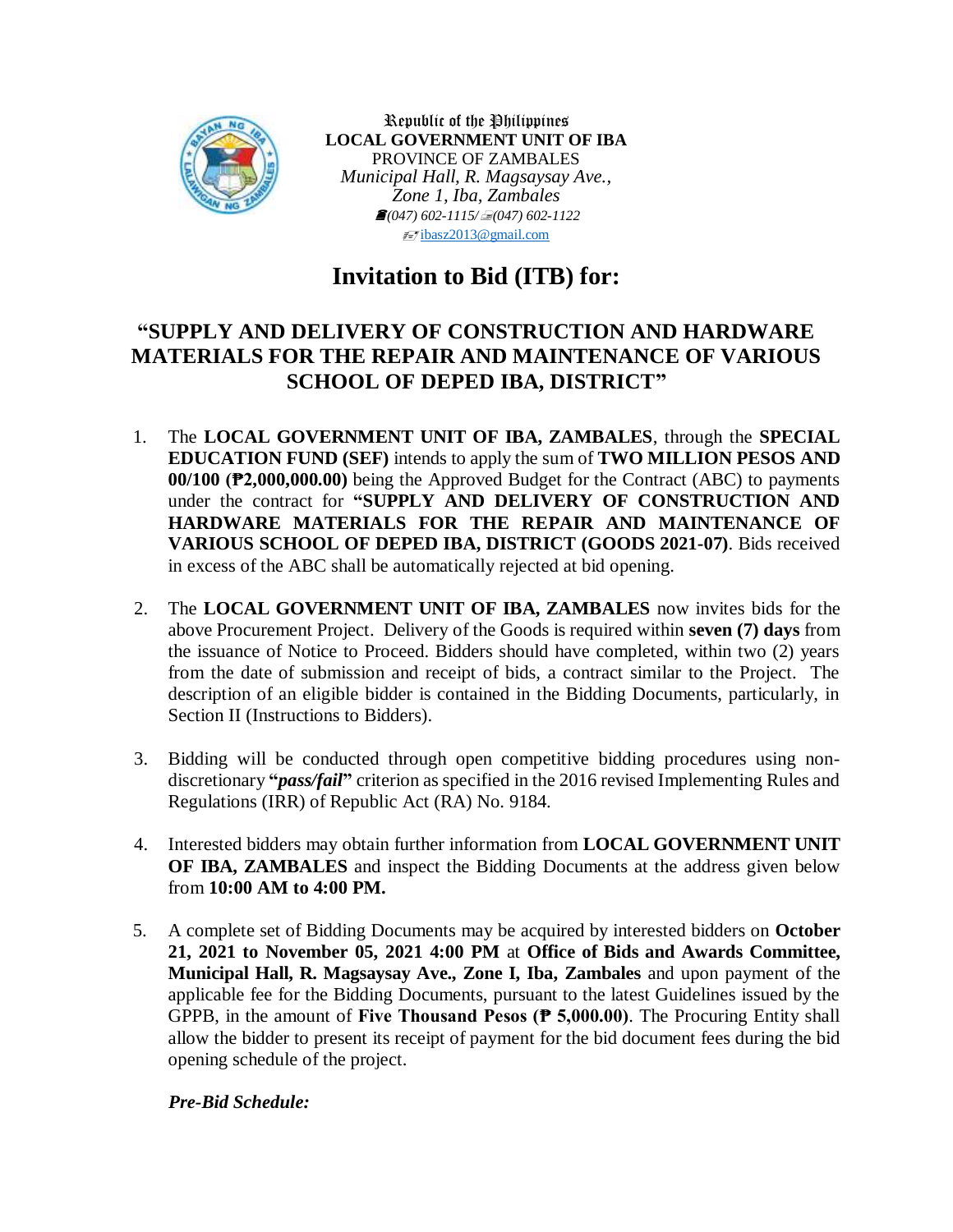

Republic of the Philippines **LOCAL GOVERNMENT UNIT OF IBA** PROVINCE OF ZAMBALES *Municipal Hall, R. Magsaysay Ave., Zone 1, Iba, Zambales (047) 602-1115/(047) 602-1122*  $\sqrt{\frac{1}{2}}$ [ibasz2013@gmail.com](mailto:ibasz2013@gmail.com)

# **Invitation to Bid (ITB) for:**

# **"SUPPLY AND DELIVERY OF CONSTRUCTION AND HARDWARE MATERIALS FOR THE REPAIR AND MAINTENANCE OF VARIOUS SCHOOL OF DEPED IBA, DISTRICT"**

- 1. The **LOCAL GOVERNMENT UNIT OF IBA, ZAMBALES**, through the **SPECIAL EDUCATION FUND (SEF)** intends to apply the sum of **TWO MILLION PESOS AND 00/100 (₱2,000,000.00)** being the Approved Budget for the Contract (ABC) to payments under the contract for **"SUPPLY AND DELIVERY OF CONSTRUCTION AND HARDWARE MATERIALS FOR THE REPAIR AND MAINTENANCE OF VARIOUS SCHOOL OF DEPED IBA, DISTRICT (GOODS 2021-07)**. Bids received in excess of the ABC shall be automatically rejected at bid opening.
- 2. The **LOCAL GOVERNMENT UNIT OF IBA, ZAMBALES** now invites bids for the above Procurement Project. Delivery of the Goods is required within **seven (7) days** from the issuance of Notice to Proceed. Bidders should have completed, within two (2) years from the date of submission and receipt of bids, a contract similar to the Project. The description of an eligible bidder is contained in the Bidding Documents, particularly, in Section II (Instructions to Bidders).
- 3. Bidding will be conducted through open competitive bidding procedures using nondiscretionary **"***pass/fail***"** criterion as specified in the 2016 revised Implementing Rules and Regulations (IRR) of Republic Act (RA) No. 9184.
- 4. Interested bidders may obtain further information from **LOCAL GOVERNMENT UNIT OF IBA, ZAMBALES** and inspect the Bidding Documents at the address given below from **10:00 AM to 4:00 PM.**
- 5. A complete set of Bidding Documents may be acquired by interested bidders on **October 21, 2021 to November 05, 2021 4:00 PM** at **Office of Bids and Awards Committee, Municipal Hall, R. Magsaysay Ave., Zone I, Iba, Zambales** and upon payment of the applicable fee for the Bidding Documents, pursuant to the latest Guidelines issued by the GPPB, in the amount of **Five Thousand Pesos (₱ 5,000.00)**. The Procuring Entity shall allow the bidder to present its receipt of payment for the bid document fees during the bid opening schedule of the project.

## *Pre-Bid Schedule:*